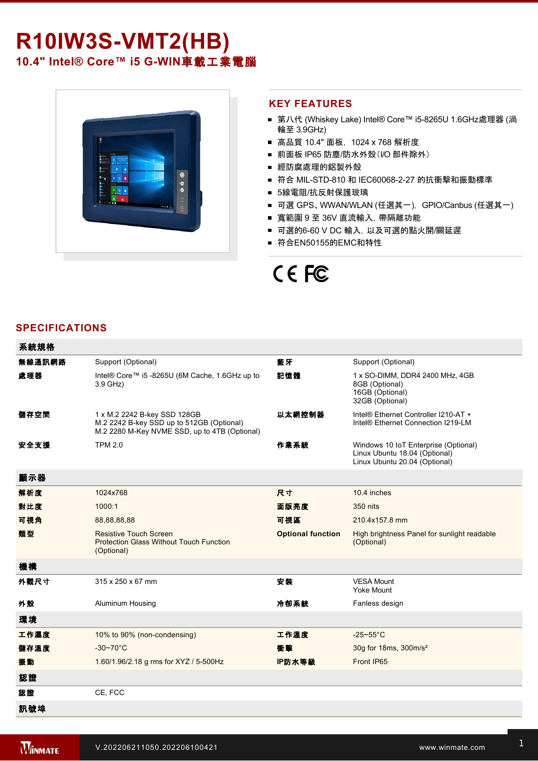# **R10IW3S-VMT2(HB)** 10.4" Intel® Core™ i5 G-WIN車載工業電腦



#### **KEY FEATURES**

- 第八代 (Whiskey Lake) Intel® Core™ i5-8265U 1.6GHz處理器 (渦 輪至 3.9GHz)
- 高品質 10.4" 面板, 1024 x 768 解析度
- 前面板 IP65 防塵/防水外殼(I/O 部件除外)
- 經防腐處理的鋁製外殼
- 符合 MIL-STD-810 和 IEC60068-2-27 的抗衝擊和振動標準
- 5線電阻/抗反射保護玻璃
- 可選 GPS、WWAN/WLAN (任選其一), GPIO/Canbus (任選其一)
- 寬範圍 9 至 36V 直流輸入,帶隔離功能
- 可選的6-60 V DC 輸入, 以及可選的點火開/關延遲
- 符合EN50155的EMC和特性

# CE FC

#### **SPECIFICATIONS**

系統規格

| 术机风作   |                                                                                                                            |                          |                                                                                                        |
|--------|----------------------------------------------------------------------------------------------------------------------------|--------------------------|--------------------------------------------------------------------------------------------------------|
| 無線通訊網路 | Support (Optional)                                                                                                         | 藍牙                       | Support (Optional)                                                                                     |
| 處理器    | Intel® Core™ i5 -8265U (6M Cache, 1.6GHz up to<br>3.9 GHz)                                                                 | 記憶體                      | 1 x SO-DIMM, DDR4 2400 MHz, 4GB<br>8GB (Optional)<br>16GB (Optional)<br>32GB (Optional)                |
| 儲存空間   | 1 x M.2 2242 B-key SSD 128GB<br>M.2 2242 B-key SSD up to 512GB (Optional)<br>M.2 2280 M-Key NVME SSD, up to 4TB (Optional) | 以太網控制器                   | Intel® Ethernet Controller I210-AT +<br>Intel® Ethernet Connection I219-LM                             |
| 安全支援   | <b>TPM 2.0</b>                                                                                                             | 作業系統                     | Windows 10 IoT Enterprise (Optional)<br>Linux Ubuntu 18.04 (Optional)<br>Linux Ubuntu 20.04 (Optional) |
| 顯示器    |                                                                                                                            |                          |                                                                                                        |
| 解析度    | 1024x768                                                                                                                   | 尺寸                       | 10.4 inches                                                                                            |
| 對比度    | 1000:1                                                                                                                     | 面版亮度                     | 350 nits                                                                                               |
| 可視角    | 88,88,88,88                                                                                                                | 可視區                      | 210.4x157.8 mm                                                                                         |
| 類型     | <b>Resistive Touch Screen</b><br><b>Protection Glass Without Touch Function</b><br>(Optional)                              | <b>Optional function</b> | High brightness Panel for sunlight readable<br>(Optional)                                              |
| 機構     |                                                                                                                            |                          |                                                                                                        |
| 外觀尺寸   | 315 x 250 x 67 mm                                                                                                          | 安装                       | <b>VESA Mount</b><br><b>Yoke Mount</b>                                                                 |
| 外殼     | Aluminum Housing                                                                                                           | 冷卻系統                     | Fanless design                                                                                         |
| 環境     |                                                                                                                            |                          |                                                                                                        |
| 工作濕度   | 10% to 90% (non-condensing)                                                                                                | 工作溫度                     | $-25-55$ °C                                                                                            |
| 儲存溫度   | $-30-70$ °C                                                                                                                | 衝擊                       | 30g for 18ms, 300m/s <sup>2</sup>                                                                      |
| 振動     | 1.60/1.96/2.18 g rms for XYZ / 5-500Hz                                                                                     | IP防水等級                   | Front IP65                                                                                             |
| 認證     |                                                                                                                            |                          |                                                                                                        |
| 認證     | CE, FCC                                                                                                                    |                          |                                                                                                        |
| 訊號埠    |                                                                                                                            |                          |                                                                                                        |

,这种方法是一个小时的人,我们在这样的人,我们在这样的人,我们在这样的人,我们在这样的人,我们在这样的人,我们在这样的人,我们在这样的人,我们在这样的人,我们在